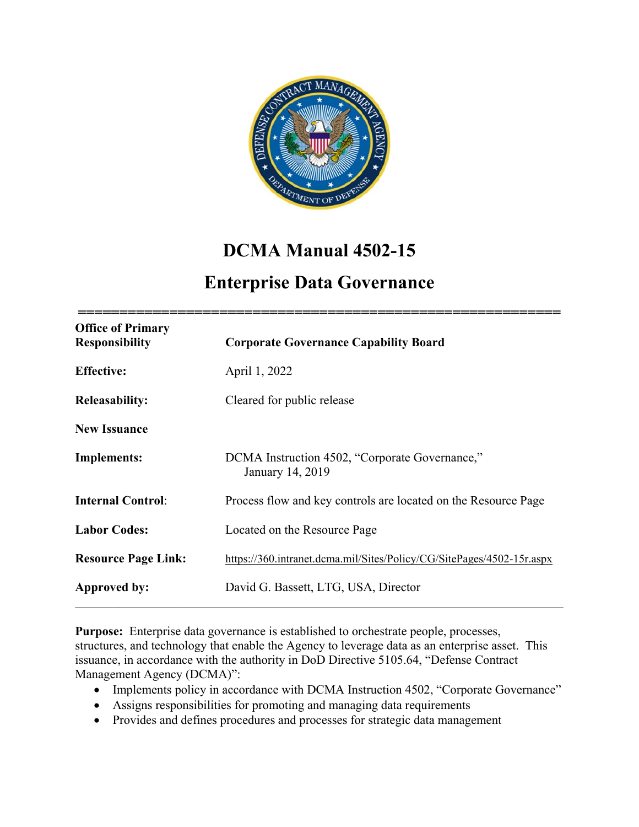

# **DCMA Manual 4502-15**

## **Enterprise Data Governance**

| <b>Office of Primary</b><br><b>Responsibility</b> | <b>Corporate Governance Capability Board</b>                          |
|---------------------------------------------------|-----------------------------------------------------------------------|
| <b>Effective:</b>                                 | April 1, 2022                                                         |
| <b>Releasability:</b>                             | Cleared for public release                                            |
| <b>New Issuance</b>                               |                                                                       |
| <b>Implements:</b>                                | DCMA Instruction 4502, "Corporate Governance,"<br>January 14, 2019    |
| <b>Internal Control:</b>                          | Process flow and key controls are located on the Resource Page        |
| <b>Labor Codes:</b>                               | Located on the Resource Page                                          |
| <b>Resource Page Link:</b>                        | https://360.intranet.dcma.mil/Sites/Policy/CG/SitePages/4502-15r.aspx |
| Approved by:                                      | David G. Bassett, LTG, USA, Director                                  |

**Purpose:** Enterprise data governance is established to orchestrate people, processes, structures, and technology that enable the Agency to leverage data as an enterprise asset. This issuance, in accordance with the authority in DoD Directive 5105.64, "Defense Contract Management Agency (DCMA)":

- Implements policy in accordance with DCMA Instruction 4502, "Corporate Governance"
- Assigns responsibilities for promoting and managing data requirements
- Provides and defines procedures and processes for strategic data management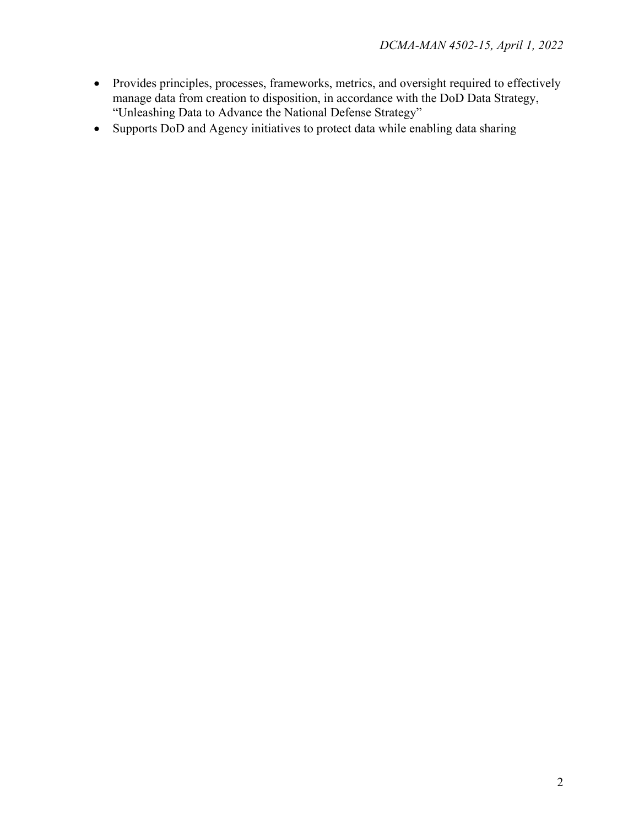- Provides principles, processes, frameworks, metrics, and oversight required to effectively manage data from creation to disposition, in accordance with the DoD Data Strategy, "Unleashing Data to Advance the National Defense Strategy"
- Supports DoD and Agency initiatives to protect data while enabling data sharing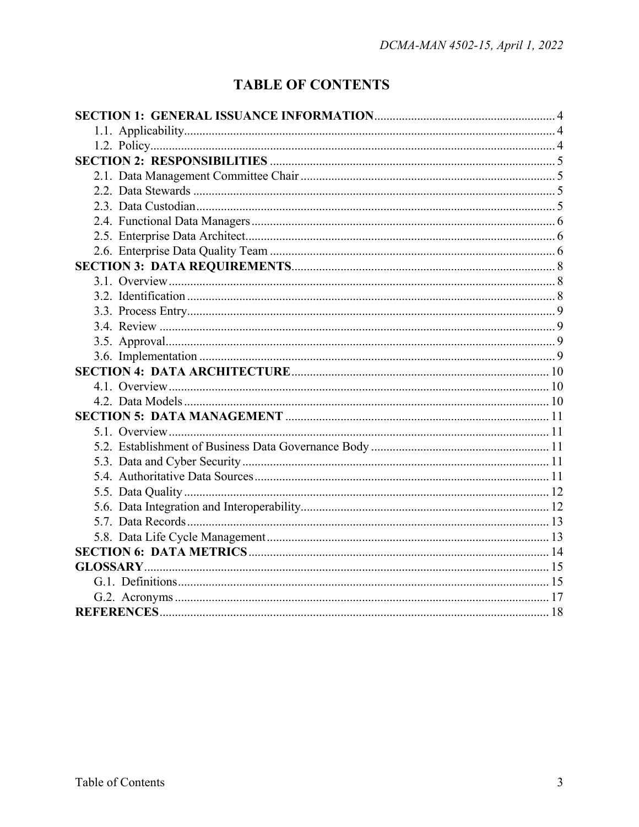## **TABLE OF CONTENTS**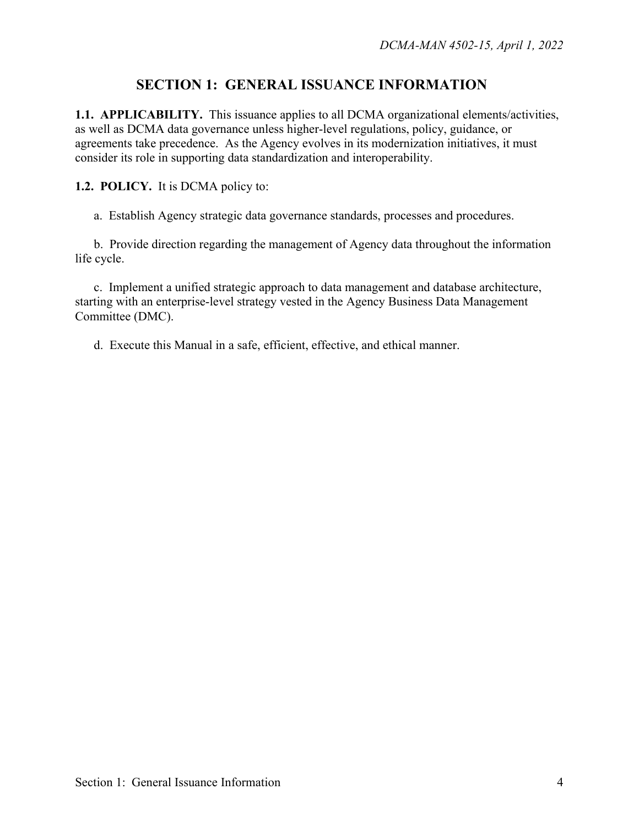### **SECTION 1: GENERAL ISSUANCE INFORMATION**

**1.1. APPLICABILITY.** This issuance applies to all DCMA organizational elements/activities, as well as DCMA data governance unless higher-level regulations, policy, guidance, or agreements take precedence. As the Agency evolves in its modernization initiatives, it must consider its role in supporting data standardization and interoperability.

#### **1.2. POLICY.** It is DCMA policy to:

a. Establish Agency strategic data governance standards, processes and procedures.

b. Provide direction regarding the management of Agency data throughout the information life cycle.

c. Implement a unified strategic approach to data management and database architecture, starting with an enterprise-level strategy vested in the Agency Business Data Management Committee (DMC).

d. Execute this Manual in a safe, efficient, effective, and ethical manner.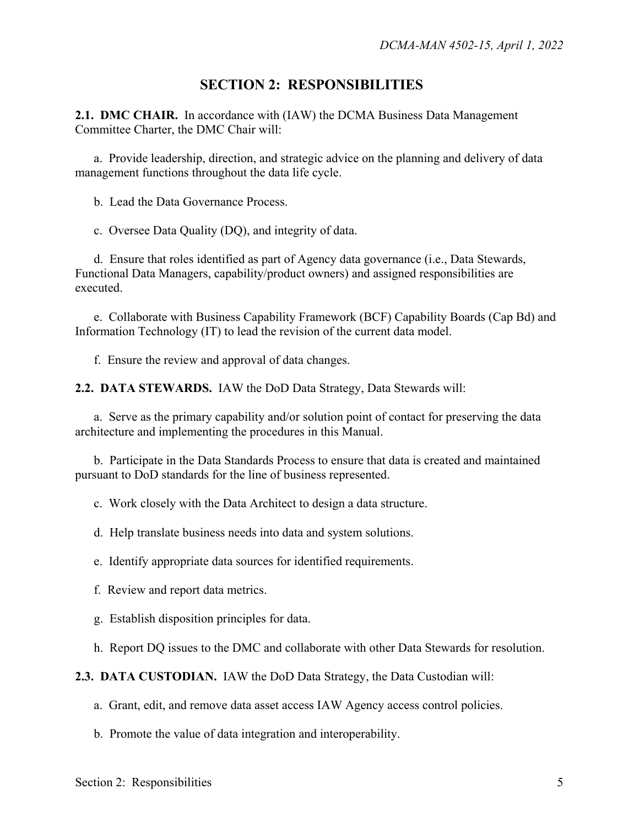#### **SECTION 2: RESPONSIBILITIES**

**2.1. DMC CHAIR.** In accordance with (IAW) the DCMA Business Data Management Committee Charter, the DMC Chair will:

a. Provide leadership, direction, and strategic advice on the planning and delivery of data management functions throughout the data life cycle.

b. Lead the Data Governance Process.

c. Oversee Data Quality (DQ), and integrity of data.

d. Ensure that roles identified as part of Agency data governance (i.e., Data Stewards, Functional Data Managers, capability/product owners) and assigned responsibilities are executed.

e. Collaborate with Business Capability Framework (BCF) Capability Boards (Cap Bd) and Information Technology (IT) to lead the revision of the current data model.

f. Ensure the review and approval of data changes.

**2.2. DATA STEWARDS.** IAW the DoD Data Strategy, Data Stewards will:

a. Serve as the primary capability and/or solution point of contact for preserving the data architecture and implementing the procedures in this Manual.

b. Participate in the Data Standards Process to ensure that data is created and maintained pursuant to DoD standards for the line of business represented.

c. Work closely with the Data Architect to design a data structure.

d. Help translate business needs into data and system solutions.

e. Identify appropriate data sources for identified requirements.

f. Review and report data metrics.

g. Establish disposition principles for data.

h. Report DQ issues to the DMC and collaborate with other Data Stewards for resolution.

**2.3. DATA CUSTODIAN.** IAW the DoD Data Strategy, the Data Custodian will:

a. Grant, edit, and remove data asset access IAW Agency access control policies.

b. Promote the value of data integration and interoperability.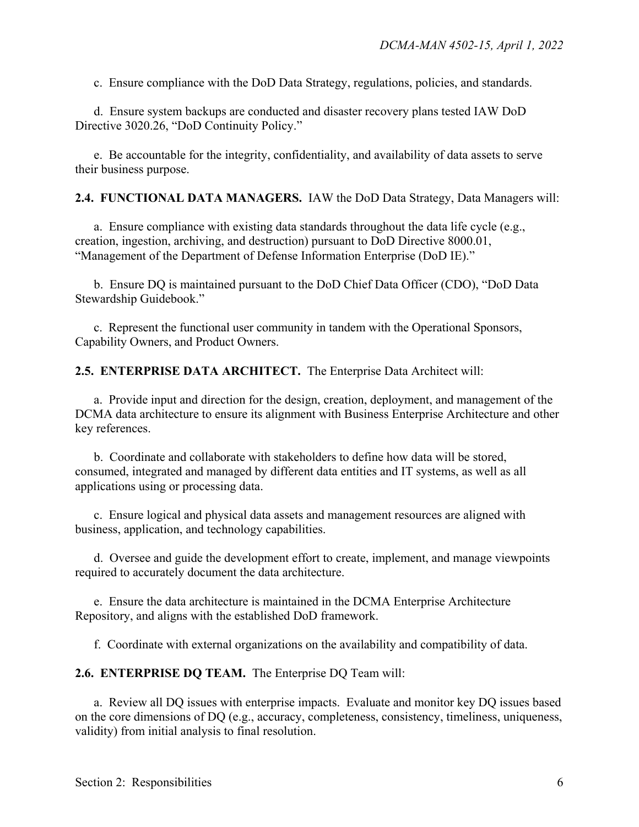c. Ensure compliance with the DoD Data Strategy, regulations, policies, and standards.

d. Ensure system backups are conducted and disaster recovery plans tested IAW DoD Directive 3020.26, "DoD Continuity Policy."

e. Be accountable for the integrity, confidentiality, and availability of data assets to serve their business purpose.

**2.4. FUNCTIONAL DATA MANAGERS.** IAW the DoD Data Strategy, Data Managers will:

a. Ensure compliance with existing data standards throughout the data life cycle (e.g., creation, ingestion, archiving, and destruction) pursuant to DoD Directive 8000.01, "Management of the Department of Defense Information Enterprise (DoD IE)."

b. Ensure DQ is maintained pursuant to the DoD Chief Data Officer (CDO), "DoD Data Stewardship Guidebook."

c. Represent the functional user community in tandem with the Operational Sponsors, Capability Owners, and Product Owners.

**2.5. ENTERPRISE DATA ARCHITECT.** The Enterprise Data Architect will:

a. Provide input and direction for the design, creation, deployment, and management of the DCMA data architecture to ensure its alignment with Business Enterprise Architecture and other key references.

b. Coordinate and collaborate with stakeholders to define how data will be stored, consumed, integrated and managed by different data entities and IT systems, as well as all applications using or processing data.

c. Ensure logical and physical data assets and management resources are aligned with business, application, and technology capabilities.

d. Oversee and guide the development effort to create, implement, and manage viewpoints required to accurately document the data architecture.

e. Ensure the data architecture is maintained in the DCMA Enterprise Architecture Repository, and aligns with the established DoD framework.

f. Coordinate with external organizations on the availability and compatibility of data.

**2.6. ENTERPRISE DQ TEAM.** The Enterprise DQ Team will:

a. Review all DQ issues with enterprise impacts. Evaluate and monitor key DQ issues based on the core dimensions of DQ (e.g., accuracy, completeness, consistency, timeliness, uniqueness, validity) from initial analysis to final resolution.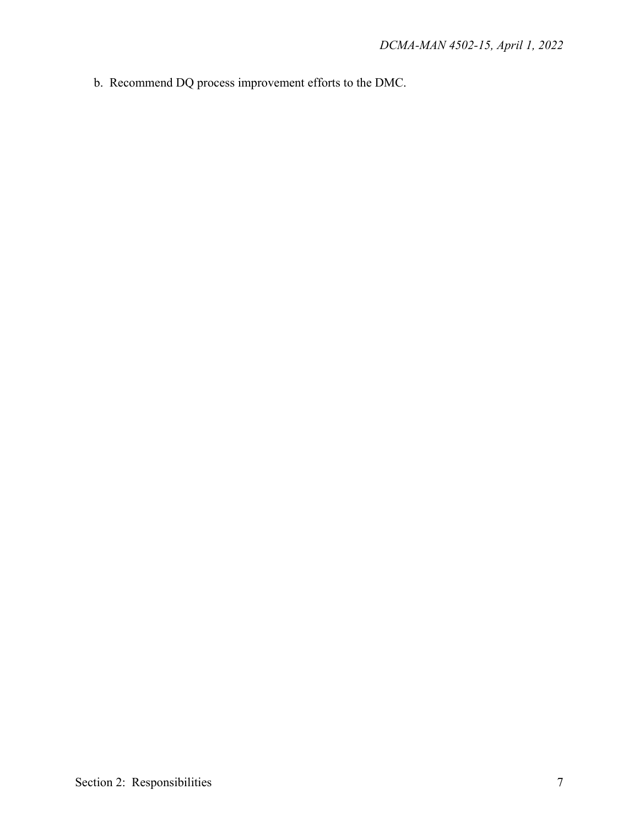b. Recommend DQ process improvement efforts to the DMC.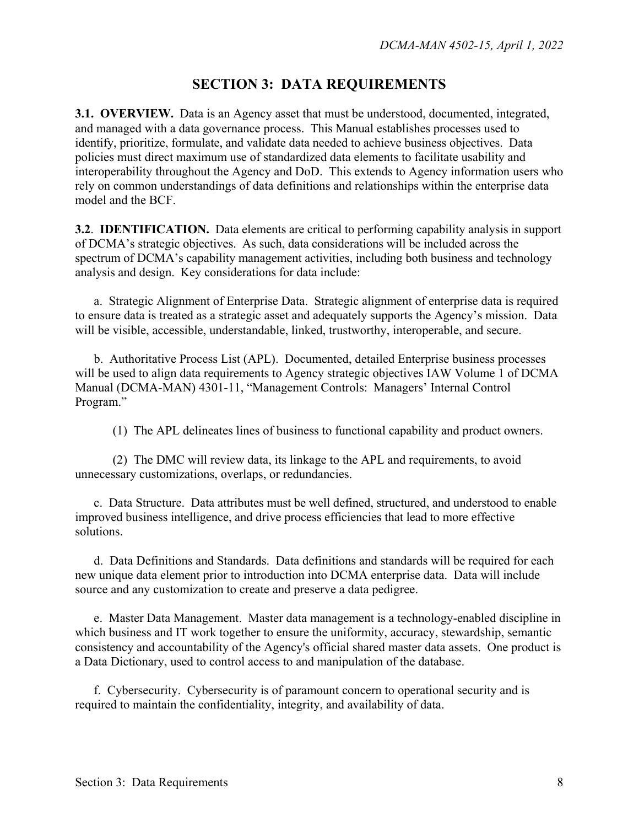#### **SECTION 3: DATA REQUIREMENTS**

**3.1. OVERVIEW.** Data is an Agency asset that must be understood, documented, integrated, and managed with a data governance process. This Manual establishes processes used to identify, prioritize, formulate, and validate data needed to achieve business objectives. Data policies must direct maximum use of standardized data elements to facilitate usability and interoperability throughout the Agency and DoD. This extends to Agency information users who rely on common understandings of data definitions and relationships within the enterprise data model and the BCF.

**3.2**. **IDENTIFICATION.** Data elements are critical to performing capability analysis in support of DCMA's strategic objectives. As such, data considerations will be included across the spectrum of DCMA's capability management activities, including both business and technology analysis and design. Key considerations for data include:

a. Strategic Alignment of Enterprise Data. Strategic alignment of enterprise data is required to ensure data is treated as a strategic asset and adequately supports the Agency's mission. Data will be visible, accessible, understandable, linked, trustworthy, interoperable, and secure.

b. Authoritative Process List (APL). Documented, detailed Enterprise business processes will be used to align data requirements to Agency strategic objectives IAW Volume 1 of DCMA Manual (DCMA-MAN) 4301-11, ["Management Controls: Managers' Internal Control](https://360.intranet.dcma.mil/Sites/Policy/Signed_Policies/MAN_4301-11vol1_(6-24-2019).pdf)  [Program."](https://360.intranet.dcma.mil/Sites/Policy/Signed_Policies/MAN_4301-11vol1_(6-24-2019).pdf)

(1) The APL delineates lines of business to functional capability and product owners.

(2) The DMC will review data, its linkage to the APL and requirements, to avoid unnecessary customizations, overlaps, or redundancies.

c. Data Structure.Data attributes must be well defined, structured, and understood to enable improved business intelligence, and drive process efficiencies that lead to more effective solutions.

d. Data Definitions and Standards. Data definitions and standards will be required for each new unique data element prior to introduction into DCMA enterprise data. Data will include source and any customization to create and preserve a data pedigree.

e. Master Data Management.Master data management is a technology-enabled discipline in which business and IT work together to ensure the uniformity, accuracy, stewardship, semantic consistency and accountability of the Agency's official shared master data assets. One product is a Data Dictionary, used to control access to and manipulation of the database.

f. Cybersecurity.Cybersecurity is of paramount concern to operational security and is required to maintain the confidentiality, integrity, and availability of data.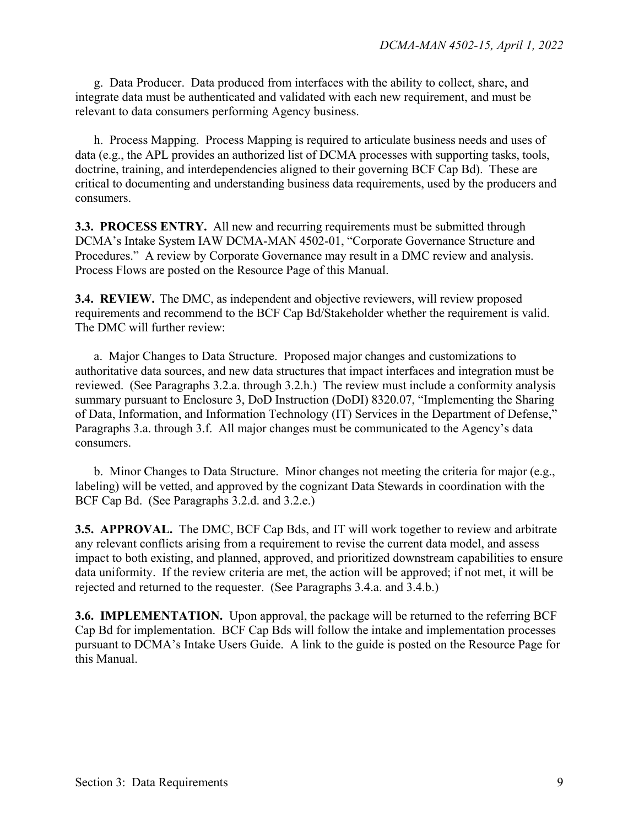g. Data Producer. Data produced from interfaces with the ability to collect, share, and integrate data must be authenticated and validated with each new requirement, and must be relevant to data consumers performing Agency business.

h. Process Mapping. Process Mapping is required to articulate business needs and uses of data (e.g., the APL provides an authorized list of DCMA processes with supporting tasks, tools, doctrine, training, and interdependencies aligned to their governing BCF Cap Bd). These are critical to documenting and understanding business data requirements, used by the producers and consumers.

**3.3. PROCESS ENTRY.** All new and recurring requirements must be submitted through DCMA's Intake System IAW DCMA-MAN 4502-01, "Corporate Governance Structure and Procedures." A review by Corporate Governance may result in a DMC review and analysis. Process Flows are posted on the Resource Page of this Manual.

**3.4. REVIEW.** The DMC, as independent and objective reviewers, will review proposed requirements and recommend to the BCF Cap Bd/Stakeholder whether the requirement is valid. The DMC will further review:

a. Major Changes to Data Structure. Proposed major changes and customizations to authoritative data sources, and new data structures that impact interfaces and integration must be reviewed. (See Paragraphs 3.2.a. through 3.2.h.) The review must include a conformity analysis summary pursuant to Enclosure 3, DoD Instruction (DoDI) 8320.07, "Implementing the Sharing of Data, Information, and Information Technology (IT) Services in the Department of Defense," Paragraphs 3.a. through 3.f. All major changes must be communicated to the Agency's data consumers.

b. Minor Changes to Data Structure. Minor changes not meeting the criteria for major (e.g., labeling) will be vetted, and approved by the cognizant Data Stewards in coordination with the BCF Cap Bd. (See Paragraphs 3.2.d. and 3.2.e.)

**3.5. APPROVAL.** The DMC, BCF Cap Bds, and IT will work together to review and arbitrate any relevant conflicts arising from a requirement to revise the current data model, and assess impact to both existing, and planned, approved, and prioritized downstream capabilities to ensure data uniformity. If the review criteria are met, the action will be approved; if not met, it will be rejected and returned to the requester. (See Paragraphs 3.4.a. and 3.4.b.)

**3.6. IMPLEMENTATION.** Upon approval, the package will be returned to the referring BCF Cap Bd for implementation. BCF Cap Bds will follow the intake and implementation processes pursuant to DCMA's Intake Users Guide. A link to the guide is posted on the Resource Page for this Manual.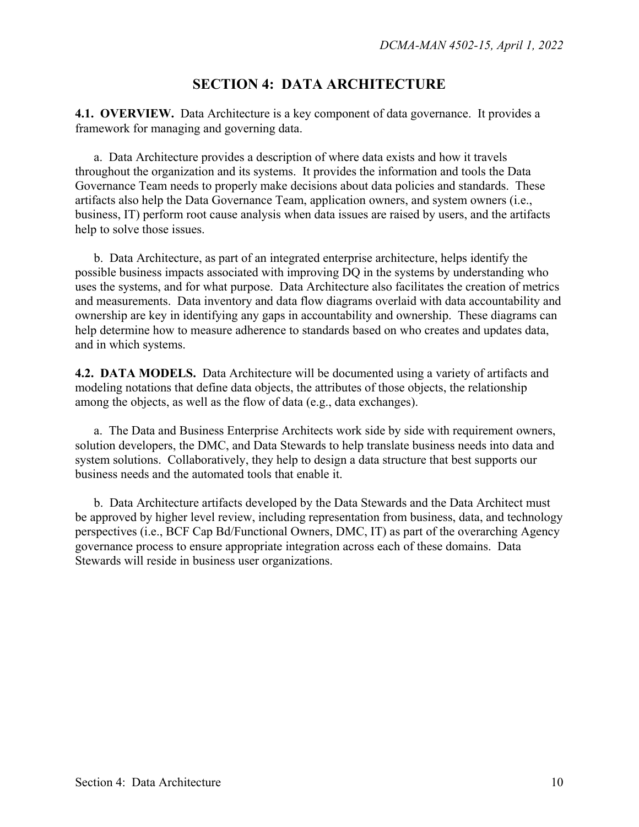#### **SECTION 4: DATA ARCHITECTURE**

**4.1. OVERVIEW.** Data Architecture is a key component of data governance. It provides a framework for managing and governing data.

a. Data Architecture provides a description of where data exists and how it travels throughout the organization and its systems. It provides the information and tools the Data Governance Team needs to properly make decisions about data policies and standards. These artifacts also help the Data Governance Team, application owners, and system owners (i.e., business, IT) perform root cause analysis when data issues are raised by users, and the artifacts help to solve those issues.

b. Data Architecture, as part of an integrated enterprise architecture, helps identify the possible business impacts associated with improving DQ in the systems by understanding who uses the systems, and for what purpose. Data Architecture also facilitates the creation of metrics and measurements. Data inventory and data flow diagrams overlaid with data accountability and ownership are key in identifying any gaps in accountability and ownership. These diagrams can help determine how to measure adherence to standards based on who creates and updates data, and in which systems.

**4.2. DATA MODELS.** Data Architecture will be documented using a variety of artifacts and modeling notations that define data objects, the attributes of those objects, the relationship among the objects, as well as the flow of data (e.g., data exchanges).

a. The Data and Business Enterprise Architects work side by side with requirement owners, solution developers, the DMC, and Data Stewards to help translate business needs into data and system solutions. Collaboratively, they help to design a data structure that best supports our business needs and the automated tools that enable it.

b. Data Architecture artifacts developed by the Data Stewards and the Data Architect must be approved by higher level review, including representation from business, data, and technology perspectives (i.e., BCF Cap Bd/Functional Owners, DMC, IT) as part of the overarching Agency governance process to ensure appropriate integration across each of these domains. Data Stewards will reside in business user organizations.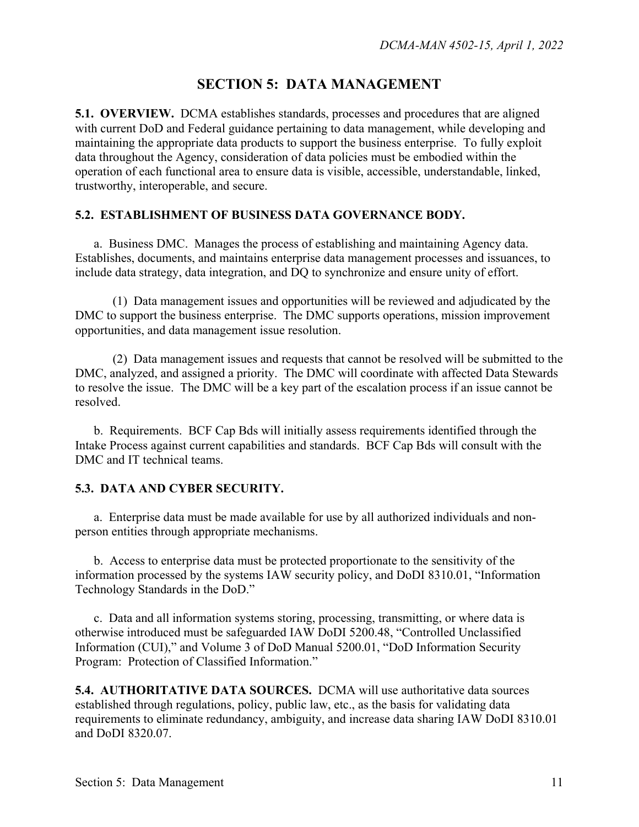#### **SECTION 5: DATA MANAGEMENT**

**5.1. OVERVIEW.** DCMA establishes standards, processes and procedures that are aligned with current DoD and Federal guidance pertaining to data management, while developing and maintaining the appropriate data products to support the business enterprise. To fully exploit data throughout the Agency, consideration of data policies must be embodied within the operation of each functional area to ensure data is visible, accessible, understandable, linked, trustworthy, interoperable, and secure.

#### **5.2. ESTABLISHMENT OF BUSINESS DATA GOVERNANCE BODY.**

a. Business DMC. Manages the process of establishing and maintaining Agency data. Establishes, documents, and maintains enterprise data management processes and issuances, to include data strategy, data integration, and DQ to synchronize and ensure unity of effort.

(1) Data management issues and opportunities will be reviewed and adjudicated by the DMC to support the business enterprise. The DMC supports operations, mission improvement opportunities, and data management issue resolution.

(2) Data management issues and requests that cannot be resolved will be submitted to the DMC, analyzed, and assigned a priority. The DMC will coordinate with affected Data Stewards to resolve the issue. The DMC will be a key part of the escalation process if an issue cannot be resolved.

b. Requirements. BCF Cap Bds will initially assess requirements identified through the Intake Process against current capabilities and standards. BCF Cap Bds will consult with the DMC and IT technical teams.

#### **5.3. DATA AND CYBER SECURITY.**

a. Enterprise data must be made available for use by all authorized individuals and nonperson entities through appropriate mechanisms.

b. Access to enterprise data must be protected proportionate to the sensitivity of the information processed by the systems IAW security policy, and DoDI 8310.01, "Information Technology Standards in the DoD."

c. Data and all information systems storing, processing, transmitting, or where data is otherwise introduced must be safeguarded IAW DoDI 5200.48, "Controlled Unclassified Information (CUI)," and Volume 3 of DoD Manual 5200.01, "DoD Information Security Program: Protection of Classified Information."

**5.4. AUTHORITATIVE DATA SOURCES.** DCMA will use authoritative data sources established through regulations, policy, public law, etc., as the basis for validating data requirements to eliminate redundancy, ambiguity, and increase data sharing IAW DoDI 8310.01 and DoDI 8320.07.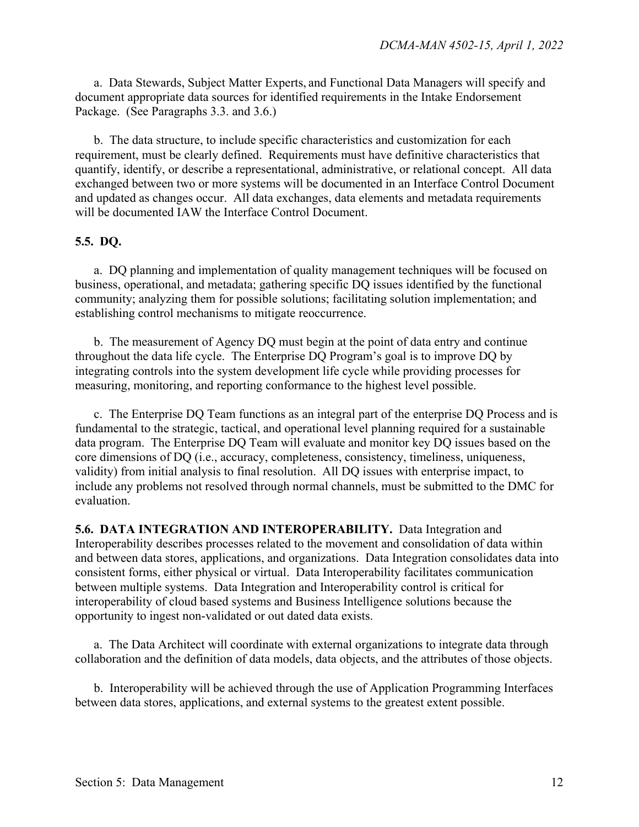a. Data Stewards, Subject Matter Experts, and Functional Data Managers will specify and document appropriate data sources for identified requirements in the Intake Endorsement Package. (See Paragraphs 3.3. and 3.6.)

b. The data structure, to include specific characteristics and customization for each requirement, must be clearly defined. Requirements must have definitive characteristics that quantify, identify, or describe a representational, administrative, or relational concept. All data exchanged between two or more systems will be documented in an Interface Control Document and updated as changes occur. All data exchanges, data elements and metadata requirements will be documented IAW the Interface Control Document.

#### **5.5. DQ.**

a. DQ planning and implementation of quality management techniques will be focused on business, operational, and metadata; gathering specific DQ issues identified by the functional community; analyzing them for possible solutions; facilitating solution implementation; and establishing control mechanisms to mitigate reoccurrence.

b. The measurement of Agency DQ must begin at the point of data entry and continue throughout the data life cycle. The Enterprise DQ Program's goal is to improve DQ by integrating controls into the system development life cycle while providing processes for measuring, monitoring, and reporting conformance to the highest level possible.

c. The Enterprise DQ Team functions as an integral part of the enterprise DQ Process and is fundamental to the strategic, tactical, and operational level planning required for a sustainable data program. The Enterprise DQ Team will evaluate and monitor key DQ issues based on the core dimensions of DQ (i.e., accuracy, completeness, consistency, timeliness, uniqueness, validity) from initial analysis to final resolution. All DQ issues with enterprise impact, to include any problems not resolved through normal channels, must be submitted to the DMC for evaluation.

**5.6. DATA INTEGRATION AND INTEROPERABILITY.** Data Integration and Interoperability describes processes related to the movement and consolidation of data within and between data stores, applications, and organizations. Data Integration consolidates data into consistent forms, either physical or virtual. Data Interoperability facilitates communication between multiple systems. Data Integration and Interoperability control is critical for interoperability of cloud based systems and Business Intelligence solutions because the opportunity to ingest non-validated or out dated data exists.

a. The Data Architect will coordinate with external organizations to integrate data through collaboration and the definition of data models, data objects, and the attributes of those objects.

b. Interoperability will be achieved through the use of Application Programming Interfaces between data stores, applications, and external systems to the greatest extent possible.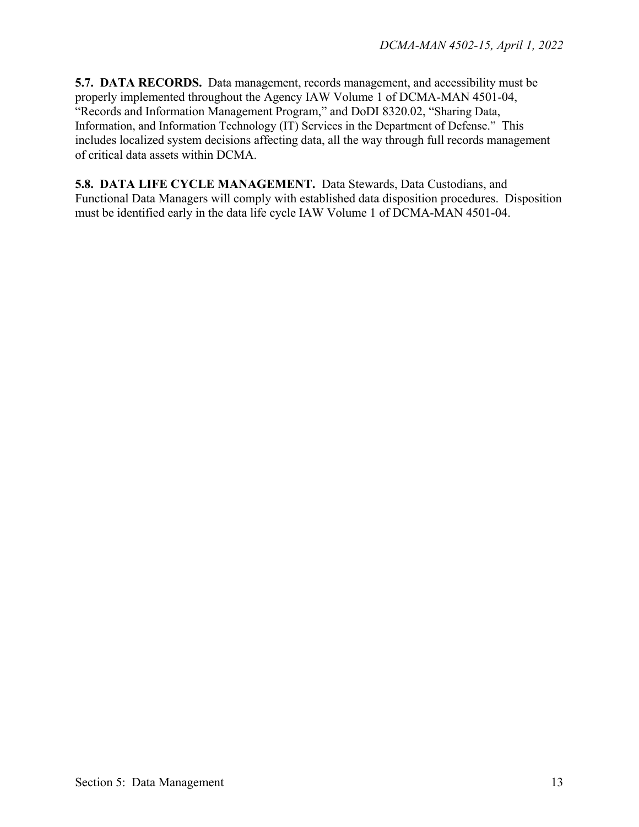**5.7. DATA RECORDS.** Data management, records management, and accessibility must be properly implemented throughout the Agency IAW Volume 1 of DCMA-MAN 4501-04, "Records and Information Management Program," and DoDI 8320.02, "Sharing Data, Information, and Information Technology (IT) Services in the Department of Defense." This includes localized system decisions affecting data, all the way through full records management of critical data assets within DCMA.

**5.8. DATA LIFE CYCLE MANAGEMENT.** Data Stewards, Data Custodians, and Functional Data Managers will comply with established data disposition procedures. Disposition must be identified early in the data life cycle IAW Volume 1 of DCMA-MAN 4501-04.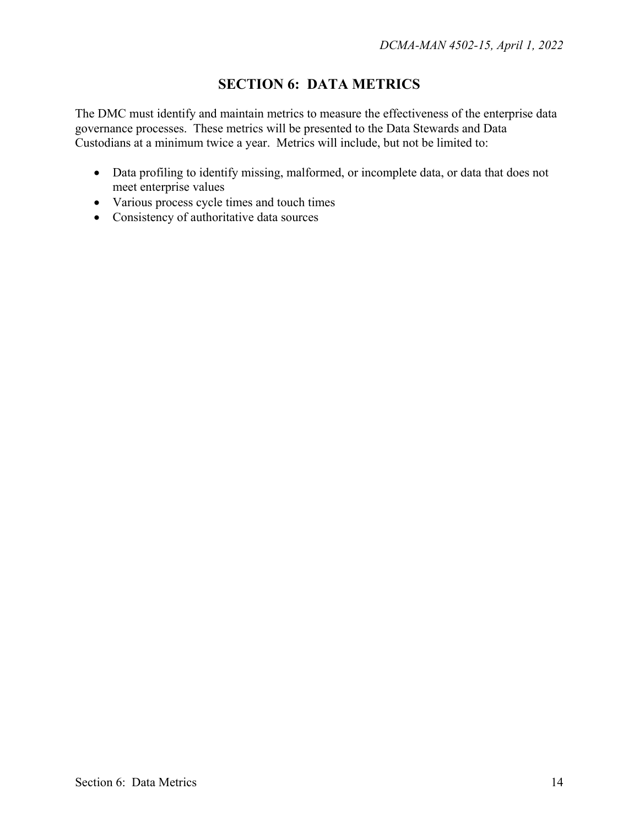### **SECTION 6: DATA METRICS**

The DMC must identify and maintain metrics to measure the effectiveness of the enterprise data governance processes. These metrics will be presented to the Data Stewards and Data Custodians at a minimum twice a year. Metrics will include, but not be limited to:

- Data profiling to identify missing, malformed, or incomplete data, or data that does not meet enterprise values
- Various process cycle times and touch times
- Consistency of authoritative data sources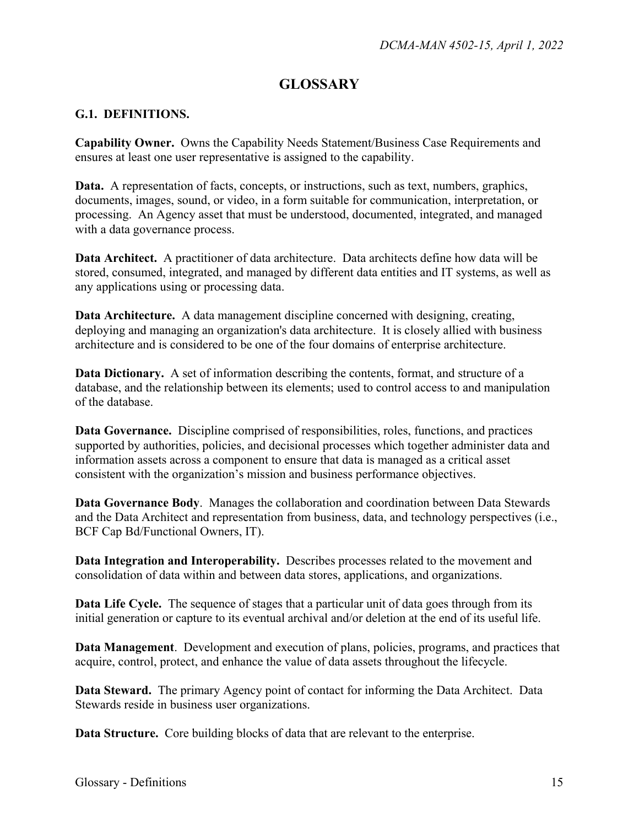#### **GLOSSARY**

#### **G.1. DEFINITIONS.**

**Capability Owner.** Owns the Capability Needs Statement/Business Case Requirements and ensures at least one user representative is assigned to the capability.

**Data.** A representation of facts, concepts, or instructions, such as text, numbers, graphics, documents, images, sound, or video, in a form suitable for communication, interpretation, or processing. An Agency asset that must be understood, documented, integrated, and managed with a data governance process.

**Data Architect.** A practitioner of data architecture. Data architects define how data will be stored, consumed, integrated, and managed by different data entities and IT systems, as well as any applications using or processing data.

**Data Architecture.** A data management discipline concerned with designing, creating, deploying and managing an organization's data architecture. It is closely allied with business architecture and is considered to be one of the four domains of enterprise architecture.

**Data Dictionary.** A set of information describing the contents, format, and structure of a database, and the relationship between its elements; used to control access to and manipulation of the database.

**Data Governance.** Discipline comprised of responsibilities, roles, functions, and practices supported by authorities, policies, and decisional processes which together administer data and information assets across a component to ensure that data is managed as a critical asset consistent with the organization's mission and business performance objectives.

**Data Governance Body**. Manages the collaboration and coordination between Data Stewards and the Data Architect and representation from business, data, and technology perspectives (i.e., BCF Cap Bd/Functional Owners, IT).

**Data Integration and Interoperability.** Describes processes related to the movement and consolidation of data within and between data stores, applications, and organizations.

**Data Life Cycle.** The sequence of stages that a particular unit of data goes through from its initial generation or capture to its eventual archival and/or deletion at the end of its useful life.

**Data Management**. Development and execution of plans, policies, programs, and practices that acquire, control, protect, and enhance the value of data assets throughout the lifecycle.

**Data Steward.** The primary Agency point of contact for informing the Data Architect. Data Stewards reside in business user organizations.

**Data Structure.** Core building blocks of data that are relevant to the enterprise.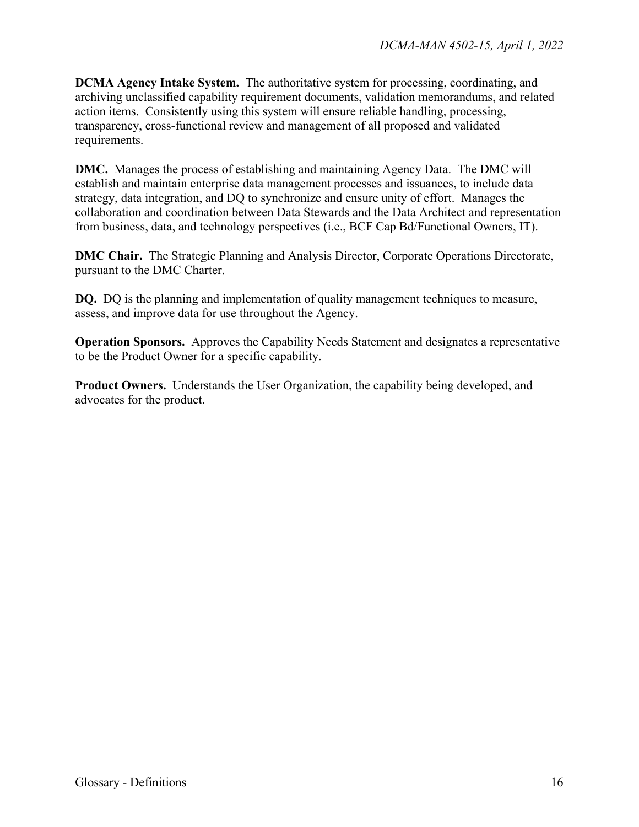**DCMA Agency Intake System.** The authoritative system for processing, coordinating, and archiving unclassified capability requirement documents, validation memorandums, and related action items. Consistently using this system will ensure reliable handling, processing, transparency, cross-functional review and management of all proposed and validated requirements.

**DMC.** Manages the process of establishing and maintaining Agency Data. The DMC will establish and maintain enterprise data management processes and issuances, to include data strategy, data integration, and DQ to synchronize and ensure unity of effort. Manages the collaboration and coordination between Data Stewards and the Data Architect and representation from business, data, and technology perspectives (i.e., BCF Cap Bd/Functional Owners, IT).

**DMC Chair.** The Strategic Planning and Analysis Director, Corporate Operations Directorate, pursuant to the DMC Charter.

**DQ.** DQ is the planning and implementation of quality management techniques to measure, assess, and improve data for use throughout the Agency.

**Operation Sponsors.** Approves the Capability Needs Statement and designates a representative to be the Product Owner for a specific capability.

**Product Owners.** Understands the User Organization, the capability being developed, and advocates for the product.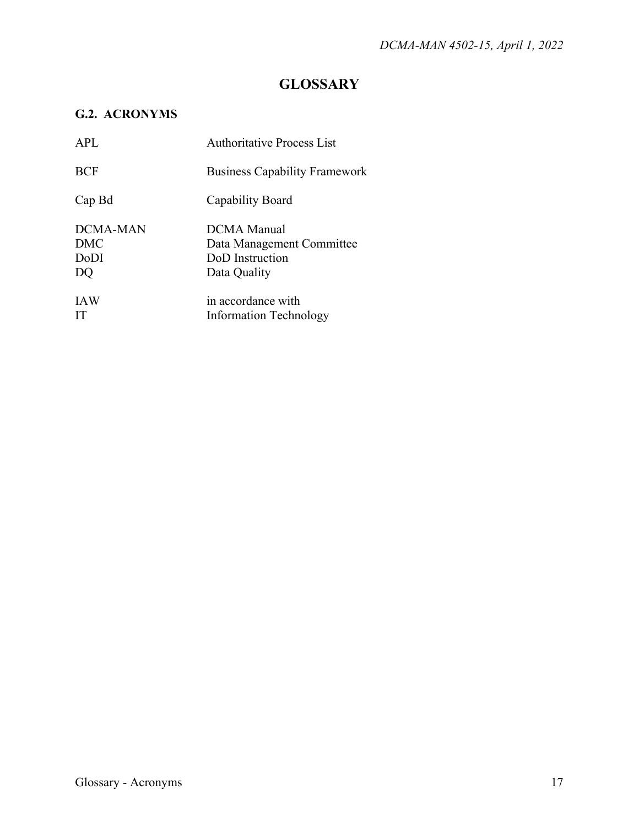## **GLOSSARY**

#### **G.2. ACRONYMS**

| <b>APL</b>                           | <b>Authoritative Process List</b>                                           |
|--------------------------------------|-----------------------------------------------------------------------------|
| <b>BCF</b>                           | <b>Business Capability Framework</b>                                        |
| Cap Bd                               | Capability Board                                                            |
| DCMA-MAN<br><b>DMC</b><br>DoDI<br>DQ | DCMA Manual<br>Data Management Committee<br>DoD Instruction<br>Data Quality |
| <b>IAW</b><br>IТ                     | in accordance with<br><b>Information Technology</b>                         |